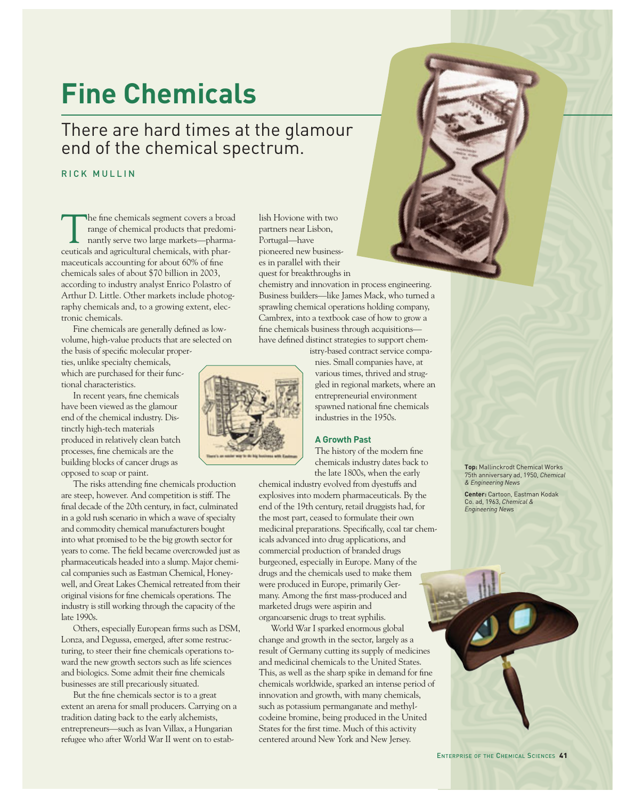# **Fine Chemicals**

# There are hard times at the glamour end of the chemical spectrum.

### RICK MULLIN

The fine chemicals segment covers a broad<br>
range of chemical products that predomi-<br>
nantly serve two large markets—pharma-<br>
couticels and origultural chemicals with pharrange of chemical products that predomiceuticals and agricultural chemicals, with pharmaceuticals accounting for about 60% of fine chemicals sales of about \$70 billion in 2003, according to industry analyst Enrico Polastro of Arthur D. Little. Other markets include photography chemicals and, to a growing extent, electronic chemicals.

Fine chemicals are generally defined as lowvolume, high-value products that are selected on the basis of specific molecular properties, unlike specialty chemicals, which are purchased for their func-

tional characteristics. In recent years, fine chemicals have been viewed as the glamour

end of the chemical industry. Distinctly high-tech materials produced in relatively clean batch processes, fine chemicals are the building blocks of cancer drugs as opposed to soap or paint.

The risks attending fine chemicals production are steep, however. And competition is stiff. The final decade of the 20th century, in fact, culminated in a gold rush scenario in which a wave of specialty and commodity chemical manufacturers bought into what promised to be the big growth sector for years to come. The field became overcrowded just as pharmaceuticals headed into a slump. Major chemical companies such as Eastman Chemical, Honeywell, and Great Lakes Chemical retreated from their original visions for fine chemicals operations. The industry is still working through the capacity of the late 1990s.

Others, especially European firms such as DSM, Lonza, and Degussa, emerged, after some restructuring, to steer their fine chemicals operations toward the new growth sectors such as life sciences and biologics. Some admit their fine chemicals businesses are still precariously situated.

But the fine chemicals sector is to a great extent an arena for small producers. Carrying on a tradition dating back to the early alchemists, entrepreneurs—such as Ivan Villax, a Hungarian refugee who after World War II went on to estab-

lish Hovione with two partners near Lisbon, Portugal—have pioneered new businesses in parallel with their quest for breakthroughs in

chemistry and innovation in process engineering. Business builders—like James Mack, who turned a sprawling chemical operations holding company, Cambrex, into a textbook case of how to grow a fine chemicals business through acquisitions have defined distinct strategies to support chemistry-based contract service compa-



nies. Small companies have, at various times, thrived and struggled in regional markets, where an entrepreneurial environment spawned national fine chemicals industries in the 1950s.

The history of the modern fine chemicals industry dates back to the late 1800s, when the early

chemical industry evolved from dyestuffs and explosives into modern pharmaceuticals. By the end of the 19th century, retail druggists had, for the most part, ceased to formulate their own medicinal preparations. Specifically, coal tar chemicals advanced into drug applications, and commercial production of branded drugs burgeoned, especially in Europe. Many of the drugs and the chemicals used to make them were produced in Europe, primarily Germany. Among the first mass-produced and marketed drugs were aspirin and organoarsenic drugs to treat syphilis.

World War I sparked enormous global change and growth in the sector, largely as a result of Germany cutting its supply of medicines and medicinal chemicals to the United States. This, as well as the sharp spike in demand for fine chemicals worldwide, sparked an intense period of innovation and growth, with many chemicals, such as potassium permanganate and methylcodeine bromine, being produced in the United States for the first time. Much of this activity centered around New York and New Jersey.



**A Growth Past**

**Top:** Mallinckrodt Chemical Works 75th anniversary ad, 1950, *Chemical & Engineering News*

**Center:** Cartoon, Eastman Kodak Co. ad, 1963, *Chemical &*

*Engineering News*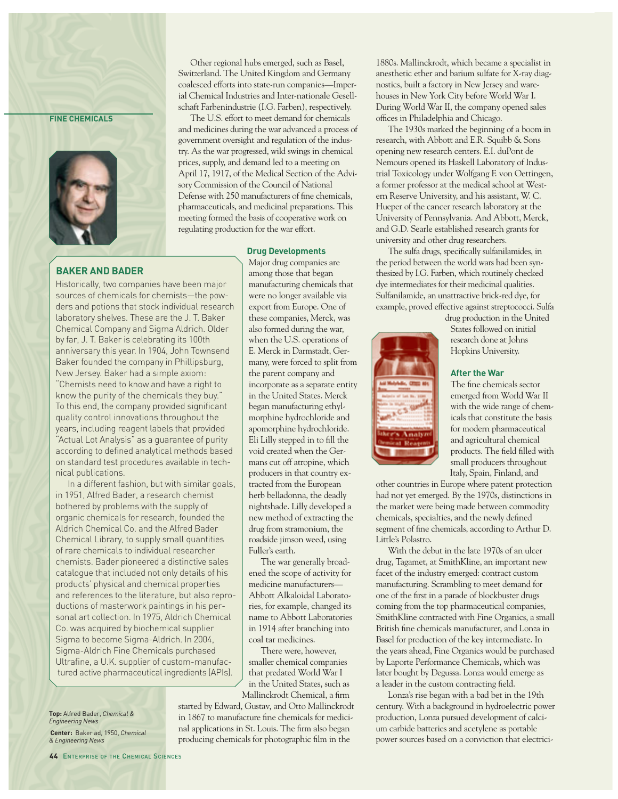#### **FINE CHEMICALS**



Other regional hubs emerged, such as Basel, Switzerland. The United Kingdom and Germany coalesced efforts into state-run companies—Imperial Chemical Industries and Inter-nationale Gesellschaft Farbenindustrie (I.G. Farben), respectively.

The U.S. effort to meet demand for chemicals and medicines during the war advanced a process of government oversight and regulation of the industry. As the war progressed, wild swings in chemical prices, supply, and demand led to a meeting on April 17, 1917, of the Medical Section of the Advisory Commission of the Council of National Defense with 250 manufacturers of fine chemicals, pharmaceuticals, and medicinal preparations. This meeting formed the basis of cooperative work on regulating production for the war effort.

#### **Drug Developments**

Major drug companies are among those that began manufacturing chemicals that were no longer available via export from Europe. One of these companies, Merck, was also formed during the war, when the U.S. operations of E. Merck in Darmstadt, Germany, were forced to split from the parent company and incorporate as a separate entity in the United States. Merck began manufacturing ethylmorphine hydrochloride and apomorphine hydrochloride. Eli Lilly stepped in to fill the void created when the Germans cut off atropine, which producers in that country extracted from the European herb belladonna, the deadly nightshade. Lilly developed a new method of extracting the drug from stramonium, the roadside jimson weed, using Fuller's earth.

The war generally broadened the scope of activity for medicine manufacturers— Abbott Alkaloidal Laboratories, for example, changed its name to Abbott Laboratories in 1914 after branching into coal tar medicines.

There were, however, smaller chemical companies that predated World War I in the United States, such as Mallinckrodt Chemical, a firm

started by Edward, Gustav, and Otto Mallinckrodt in 1867 to manufacture fine chemicals for medicinal applications in St. Louis. The firm also began producing chemicals for photographic film in the

1880s. Mallinckrodt, which became a specialist in anesthetic ether and barium sulfate for X-ray diagnostics, built a factory in New Jersey and warehouses in New York City before World War I. During World War II, the company opened sales offices in Philadelphia and Chicago.

The 1930s marked the beginning of a boom in research, with Abbott and E.R. Squibb & Sons opening new research centers. E.I. duPont de Nemours opened its Haskell Laboratory of Industrial Toxicology under Wolfgang F. von Oettingen, a former professor at the medical school at Western Reserve University, and his assistant, W. C. Hueper of the cancer research laboratory at the University of Pennsylvania. And Abbott, Merck, and G.D. Searle established research grants for university and other drug researchers.

The sulfa drugs, specifically sulfanilamides, in the period between the world wars had been synthesized by I.G. Farben, which routinely checked dye intermediates for their medicinal qualities. Sulfanilamide, an unattractive brick-red dye, for example, proved effective against streptococci. Sulfa



drug production in the United States followed on initial research done at Johns Hopkins University.

#### **After the War**

The fine chemicals sector emerged from World War II with the wide range of chemicals that constitute the basis for modern pharmaceutical and agricultural chemical products. The field filled with small producers throughout Italy, Spain, Finland, and

other countries in Europe where patent protection had not yet emerged. By the 1970s, distinctions in the market were being made between commodity chemicals, specialties, and the newly defined segment of fine chemicals, according to Arthur D. Little's Polastro.

With the debut in the late 1970s of an ulcer drug, Tagamet, at SmithKline, an important new facet of the industry emerged: contract custom manufacturing. Scrambling to meet demand for one of the first in a parade of blockbuster drugs coming from the top pharmaceutical companies, SmithKline contracted with Fine Organics, a small British fine chemicals manufacturer, and Lonza in Basel for production of the key intermediate. In the years ahead, Fine Organics would be purchased by Laporte Performance Chemicals, which was later bought by Degussa. Lonza would emerge as a leader in the custom contracting field.

Lonza's rise began with a bad bet in the 19th century. With a background in hydroelectric power production, Lonza pursued development of calcium carbide batteries and acetylene as portable power sources based on a conviction that electrici-

#### **BAKER AND BADER**

Historically, two companies have been major sources of chemicals for chemists—the powders and potions that stock individual research laboratory shelves. These are the J. T. Baker Chemical Company and Sigma Aldrich. Older by far, J. T. Baker is celebrating its 100th anniversary this year. In 1904, John Townsend Baker founded the company in Phillipsburg, New Jersey. Baker had a simple axiom: "Chemists need to know and have a right to know the purity of the chemicals they buy." To this end, the company provided significant quality control innovations throughout the years, including reagent labels that provided "Actual Lot Analysis" as a guarantee of purity according to defined analytical methods based on standard test procedures available in technical publications.

In a different fashion, but with similar goals, in 1951, Alfred Bader, a research chemist bothered by problems with the supply of organic chemicals for research, founded the Aldrich Chemical Co. and the Alfred Bader Chemical Library, to supply small quantities of rare chemicals to individual researcher chemists. Bader pioneered a distinctive sales catalogue that included not only details of his products' physical and chemical properties and references to the literature, but also reproductions of masterwork paintings in his personal art collection. In 1975, Aldrich Chemical Co. was acquired by biochemical supplier Sigma to become Sigma-Aldrich. In 2004, Sigma-Aldrich Fine Chemicals purchased Ultrafine, a U.K. supplier of custom-manufactured active pharmaceutical ingredients (APIs).

**Top:** Alfred Bader, *Chemical & Engineering News* **Center:** Baker ad, 1950, *Chemical & Engineering News*

44 ENTERPRISE OF THE CHEMICAL SCIENCES